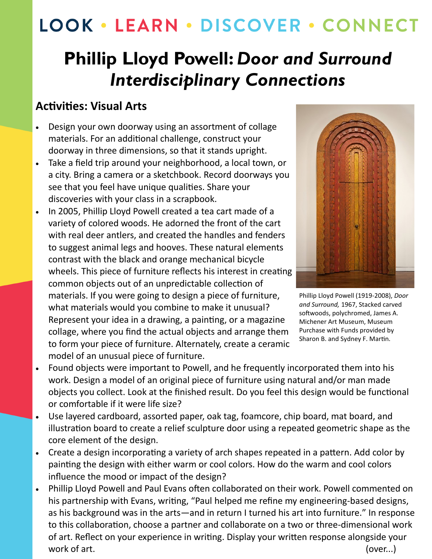# LOOK · LEARN · DISCOVER · CONNECT

## **Phillip Lloyd Powell:** *Door and Surround Interdisciplinary Connections*

### **Activities: Visual Arts**

- Design your own doorway using an assortment of collage materials. For an additional challenge, construct your doorway in three dimensions, so that it stands upright.
- Take a field trip around your neighborhood, a local town, or a city. Bring a camera or a sketchbook. Record doorways you see that you feel have unique qualities. Share your discoveries with your class in a scrapbook.
- In 2005, Phillip Lloyd Powell created a tea cart made of a variety of colored woods. He adorned the front of the cart with real deer antlers, and created the handles and fenders to suggest animal legs and hooves. These natural elements contrast with the black and orange mechanical bicycle wheels. This piece of furniture reflects his interest in creating common objects out of an unpredictable collection of materials. If you were going to design a piece of furniture, what materials would you combine to make it unusual? Represent your idea in a drawing, a painting, or a magazine collage, where you find the actual objects and arrange them to form your piece of furniture. Alternately, create a ceramic model of an unusual piece of furniture.



Phillip Lloyd Powell (1919-2008), *Door and Surround,* 1967, Stacked carved softwoods, polychromed, James A. Michener Art Museum, Museum Purchase with Funds provided by Sharon B. and Sydney F. Martin.

- Found objects were important to Powell, and he frequently incorporated them into his work. Design a model of an original piece of furniture using natural and/or man made objects you collect. Look at the finished result. Do you feel this design would be functional or comfortable if it were life size?
- Use layered cardboard, assorted paper, oak tag, foamcore, chip board, mat board, and illustration board to create a relief sculpture door using a repeated geometric shape as the core element of the design.
- Create a design incorporating a variety of arch shapes repeated in a pattern. Add color by painting the design with either warm or cool colors. How do the warm and cool colors influence the mood or impact of the design?
- Phillip Lloyd Powell and Paul Evans often collaborated on their work. Powell commented on his partnership with Evans, writing, "Paul helped me refine my engineering-based designs, as his background was in the arts—and in return I turned his art into furniture." In response to this collaboration, choose a partner and collaborate on a two or three-dimensional work of art. Reflect on your experience in writing. Display your written response alongside your work of art. (over...)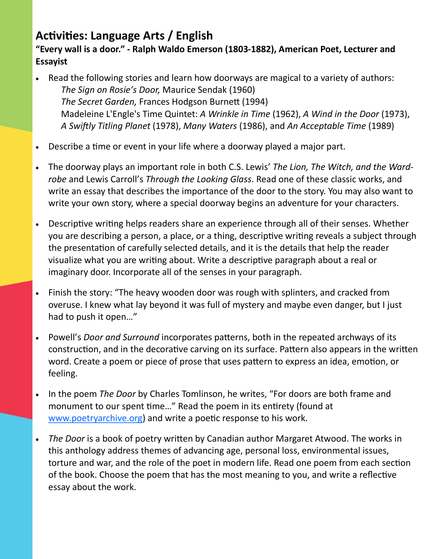## **Activities: Language Arts / English**

#### **"Every wall is a door." - Ralph Waldo Emerson (1803-1882), American Poet, Lecturer and Essayist**

- Read the following stories and learn how doorways are magical to a variety of authors: *The Sign on Rosie's Door,* Maurice Sendak (1960) *The Secret Garden,* Frances Hodgson Burnett (1994) Madeleine L'Engle's Time Quintet: *A Wrinkle in Time* (1962), *A Wind in the Door* (1973), *A Swiftly Titling Planet* (1978), *Many Waters* (1986), and *An Acceptable Time* (1989)
- Describe a time or event in your life where a doorway played a major part.
- The doorway plays an important role in both C.S. Lewis' *The Lion, The Witch, and the Wardrobe* and Lewis Carroll's *Through the Looking Glass*. Read one of these classic works, and write an essay that describes the importance of the door to the story. You may also want to write your own story, where a special doorway begins an adventure for your characters.
- Descriptive writing helps readers share an experience through all of their senses. Whether you are describing a person, a place, or a thing, descriptive writing reveals a subject through the presentation of carefully selected details, and it is the details that help the reader visualize what you are writing about. Write a descriptive paragraph about a real or imaginary door. Incorporate all of the senses in your paragraph.
- Finish the story: "The heavy wooden door was rough with splinters, and cracked from overuse. I knew what lay beyond it was full of mystery and maybe even danger, but I just had to push it open…"
- Powell's *Door and Surround* incorporates patterns, both in the repeated archways of its construction, and in the decorative carving on its surface. Pattern also appears in the written word. Create a poem or piece of prose that uses pattern to express an idea, emotion, or feeling.
- In the poem *The Door* by Charles Tomlinson, he writes, "For doors are both frame and monument to our spent time…" Read the poem in its entirety (found at [www.poetryarchive.org\)](https://poetryarchive.org/) and write a poetic response to his work.
- *The Door* is a book of poetry written by Canadian author Margaret Atwood. The works in this anthology address themes of advancing age, personal loss, environmental issues, torture and war, and the role of the poet in modern life. Read one poem from each section of the book. Choose the poem that has the most meaning to you, and write a reflective essay about the work.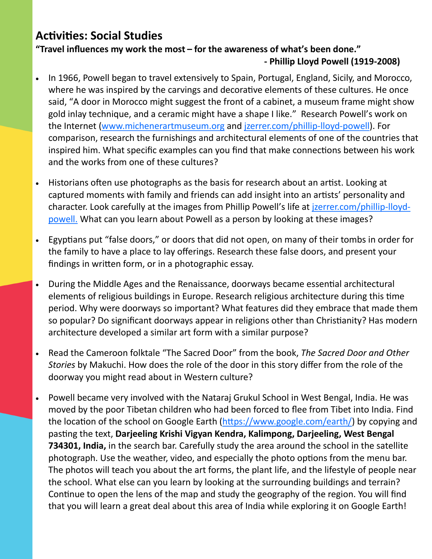## **Activities: Social Studies**

**"Travel influences my work the most – for the awareness of what's been done." - Phillip Lloyd Powell (1919-2008)**

- In 1966, Powell began to travel extensively to Spain, Portugal, England, Sicily, and Morocco, where he was inspired by the carvings and decorative elements of these cultures. He once said, "A door in Morocco might suggest the front of a cabinet, a museum frame might show gold inlay technique, and a ceramic might have a shape I like." Research Powell's work on the Internet [\(www.michenerartmuseum.org](http://www.michenerartmuseum.org) and [jzerrer.com/phillip](http://jzerrer.com/phillip-lloyd-powell/)-lloyd-powell). For comparison, research the furnishings and architectural elements of one of the countries that inspired him. What specific examples can you find that make connections between his work and the works from one of these cultures?
- Historians often use photographs as the basis for research about an artist. Looking at captured moments with family and friends can add insight into an artists' personality and character. Look carefully at the images from Phillip Powell's life at [jzerrer.com/phillip](http://jzerrer.com/phillip-lloyd-powell/)-lloyd[powell.](http://jzerrer.com/phillip-lloyd-powell/) What can you learn about Powell as a person by looking at these images?
- Egyptians put "false doors," or doors that did not open, on many of their tombs in order for the family to have a place to lay offerings. Research these false doors, and present your findings in written form, or in a photographic essay.
- During the Middle Ages and the Renaissance, doorways became essential architectural elements of religious buildings in Europe. Research religious architecture during this time period. Why were doorways so important? What features did they embrace that made them so popular? Do significant doorways appear in religions other than Christianity? Has modern architecture developed a similar art form with a similar purpose?
- Read the Cameroon folktale "The Sacred Door" from the book, *The Sacred Door and Other Stories* by Makuchi. How does the role of the door in this story differ from the role of the doorway you might read about in Western culture?
- Powell became very involved with the Nataraj Grukul School in West Bengal, India. He was moved by the poor Tibetan children who had been forced to flee from Tibet into India. Find the location of the school on Google Earth [\(https://www.google.com/earth/\)](https://www.google.com/earth/) by copying and pasting the text, **Darjeeling Krishi Vigyan Kendra, Kalimpong, Darjeeling, West Bengal 734301, India,** in the search bar. Carefully study the area around the school in the satellite photograph. Use the weather, video, and especially the photo options from the menu bar. The photos will teach you about the art forms, the plant life, and the lifestyle of people near the school. What else can you learn by looking at the surrounding buildings and terrain? Continue to open the lens of the map and study the geography of the region. You will find that you will learn a great deal about this area of India while exploring it on Google Earth!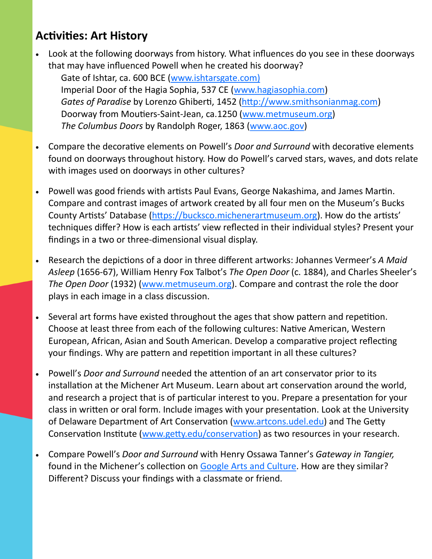## **Activities: Art History**

- Look at the following doorways from history. What influences do you see in these doorways that may have influenced Powell when he created his doorway?
	- Gate of Ishtar, ca. 600 BCE [\(www.ishtarsgate.com\)](http://www.ishtarsgate.com)) Imperial Door of the Hagia Sophia, 537 CE ([www.hagiasophia.com\)](http://www.hagiasophia.com) *Gates of Paradise* by Lorenzo Ghiberti, 1452 ([http://www.smithsonianmag.com\)](http://www.smithsonianmag.com) Doorway from Moutiers-Saint-Jean, ca.1250 ([www.metmuseum.org\)](http://www.metmuseum.org) *The Columbus Doors* by Randolph Roger, 1863 [\(www.aoc.gov\)](http://www.aoc.gov)
- Compare the decorative elements on Powell's *Door and Surround* with decorative elements found on doorways throughout history. How do Powell's carved stars, waves, and dots relate with images used on doorways in other cultures?
- Powell was good friends with artists Paul Evans, George Nakashima, and James Martin. Compare and contrast images of artwork created by all four men on the Museum's Bucks County Artists' Database [\(https://bucksco.michenerartmuseum.org\).](https://bucksco.michenerartmuseum.org) How do the artists' techniques differ? How is each artists' view reflected in their individual styles? Present your findings in a two or three-dimensional visual display.
- Research the depictions of a door in three different artworks: Johannes Vermeer's *A Maid Asleep* (1656-67), William Henry Fox Talbot's *The Open Door* (c. 1884), and Charles Sheeler's *The Open Door* (1932) ([www.metmuseum.org\).](http://www.metmuseum.org) Compare and contrast the role the door plays in each image in a class discussion.
- Several art forms have existed throughout the ages that show pattern and repetition. Choose at least three from each of the following cultures: Native American, Western European, African, Asian and South American. Develop a comparative project reflecting your findings. Why are pattern and repetition important in all these cultures?
- Powell's *Door and Surround* needed the attention of an art conservator prior to its installation at the Michener Art Museum. Learn about art conservation around the world, and research a project that is of particular interest to you. Prepare a presentation for your class in written or oral form. Include images with your presentation. Look at the University of Delaware Department of Art Conservation ([www.artcons.udel.edu\)](http://www.artcons.udel.edu) and The Getty Conservation Institute ([www.getty.edu/conservation\)](http://www.getty.edu/conservation) as two resources in your research.
- Compare Powell's *Door and Surround* with Henry Ossawa Tanner's *Gateway in Tangier,*  found in the Michener's collection on [Google Arts and Culture.](https://artsandculture.google.com/asset/gateway-in-tangier-henry-ossawa-tanner/ZwGEU-wAc-umKQ) How are they similar? Different? Discuss your findings with a classmate or friend.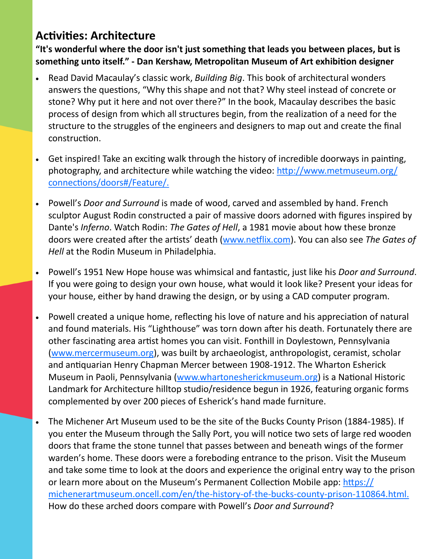## **Activities: Architecture**

**"It's wonderful where the door isn't just something that leads you between places, but is something unto itself." - Dan Kershaw, Metropolitan Museum of Art exhibition designer**

- Read David Macaulay's classic work, *Building Big*. This book of architectural wonders answers the questions, "Why this shape and not that? Why steel instead of concrete or stone? Why put it here and not over there?" In the book, Macaulay describes the basic process of design from which all structures begin, from the realization of a need for the structure to the struggles of the engineers and designers to map out and create the final construction.
- Get inspired! Take an exciting walk through the history of incredible doorways in painting, photography, and architecture while watching the video: [http://www.metmuseum.org/](https://www.metmuseum.org/connections/doors#/) [connections/doors#/Feature/.](https://www.metmuseum.org/connections/doors#/)
- Powell's *Door and Surround* is made of wood, carved and assembled by hand. French sculptor August Rodin constructed a pair of massive doors adorned with figures inspired by Dante's *Inferno*. Watch Rodin: *The Gates of Hell*, a 1981 movie about how these bronze doors were created after the artists' death ([www.netflix.com\)](http://www.netflix.com). You can also see *The Gates of Hell* at the Rodin Museum in Philadelphia.
- Powell's 1951 New Hope house was whimsical and fantastic, just like his *Door and Surround*. If you were going to design your own house, what would it look like? Present your ideas for your house, either by hand drawing the design, or by using a CAD computer program.
- Powell created a unique home, reflecting his love of nature and his appreciation of natural and found materials. His "Lighthouse" was torn down after his death. Fortunately there are other fascinating area artist homes you can visit. Fonthill in Doylestown, Pennsylvania ([www.mercermuseum.org\)](http://www.mercermuseum.org), was built by archaeologist, anthropologist, ceramist, scholar and antiquarian Henry Chapman Mercer between 1908-1912. The Wharton Esherick Museum in Paoli, Pennsylvania ([www.whartonesherickmuseum.org\)](http://www.whartonesherickmuseum.org) is a National Historic Landmark for Architecture hilltop studio/residence begun in 1926, featuring organic forms complemented by over 200 pieces of Esherick's hand made furniture.
- The Michener Art Museum used to be the site of the Bucks County Prison (1884-1985). If you enter the Museum through the Sally Port, you will notice two sets of large red wooden doors that frame the stone tunnel that passes between and beneath wings of the former warden's home. These doors were a foreboding entrance to the prison. Visit the Museum and take some time to look at the doors and experience the original entry way to the prison or learn more about on the Museum's Permanent Collection Mobile app: [https://](https://michenerartmuseum.oncell.com/en/the-history-of-the-bucks-county-prison-110864.html.) [michenerartmuseum.oncell.com/en/the](https://michenerartmuseum.oncell.com/en/the-history-of-the-bucks-county-prison-110864.html.)-history-of-the-bucks-county-prison-110864.html. How do these arched doors compare with Powell's *Door and Surround*?